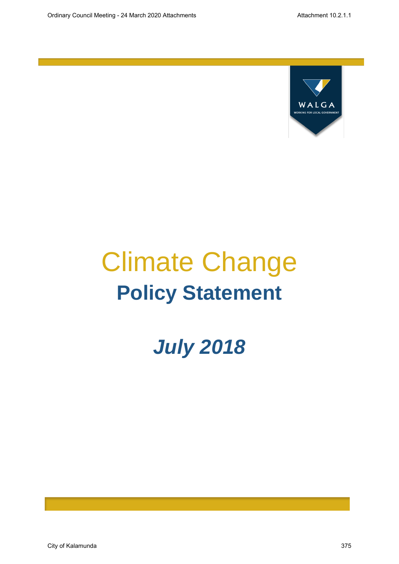

# Climate Change **Policy Statement**

## *July 2018*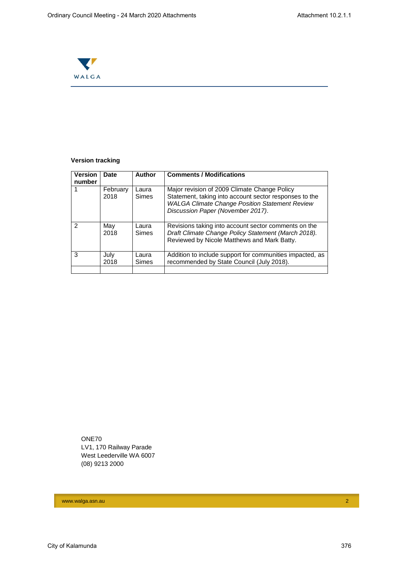

## **Version tracking**

| <b>Version</b><br>number | <b>Date</b>      | Author                | <b>Comments / Modifications</b>                                                                                                                                                                      |
|--------------------------|------------------|-----------------------|------------------------------------------------------------------------------------------------------------------------------------------------------------------------------------------------------|
|                          | February<br>2018 | Laura<br><b>Simes</b> | Major revision of 2009 Climate Change Policy<br>Statement, taking into account sector responses to the<br><b>WALGA Climate Change Position Statement Review</b><br>Discussion Paper (November 2017). |
| $\mathcal{P}$            | May<br>2018      | Laura<br><b>Simes</b> | Revisions taking into account sector comments on the<br>Draft Climate Change Policy Statement (March 2018).<br>Reviewed by Nicole Matthews and Mark Batty.                                           |
| 3                        | July<br>2018     | Laura<br><b>Simes</b> | Addition to include support for communities impacted, as<br>recommended by State Council (July 2018).                                                                                                |
|                          |                  |                       |                                                                                                                                                                                                      |

ONE70 LV1, 170 Railway Parade West Leederville WA 6007 (08) 9213 2000

www.walga.asn.au 2014 - 2014 - 2014 - 2014 - 2014 - 2014 - 2014 - 2014 - 2014 - 2014 - 2014 - 2014 - 2014 - 20<br>2014 - 2014 - 2014 - 2014 - 2014 - 2014 - 2014 - 2014 - 2014 - 2014 - 2014 - 2014 - 2014 - 2014 - 2014 - 2014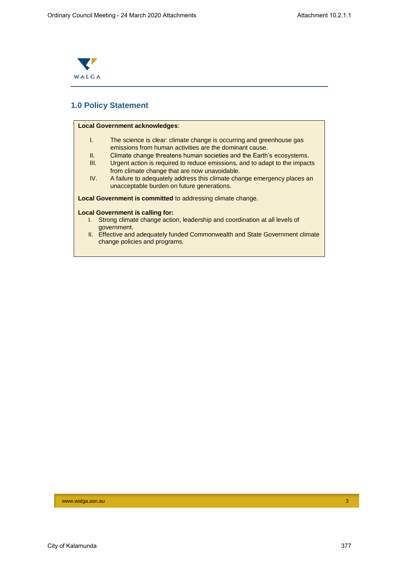

## **1.0 Policy Statement**

## **Local Government acknowledges**: I. The science is clear: climate change is occurring and greenhouse gas emissions from human activities are the dominant cause. II. Climate change threatens human societies and the Earth's ecosystems. III. Urgent action is required to reduce emissions, and to adapt to the impacts from climate change that are now unavoidable. IV. A failure to adequately address this climate change emergency places an unacceptable burden on future generations. **Local Government is committed** to addressing climate change. **Local Government is calling for:** I. Strong climate change action, leadership and coordination at all levels of government. II. Effective and adequately funded Commonwealth and State Government climate change policies and programs.

#### www.walga.asn.au 3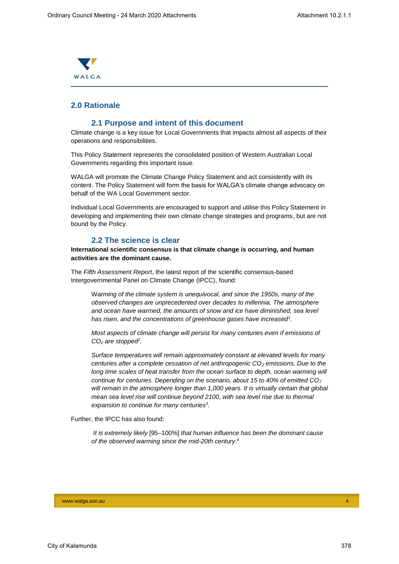

## **2.0 Rationale**

## **2.1 Purpose and intent of this document**

Climate change is a key issue for Local Governments that impacts almost all aspects of their operations and responsibilities.

This Policy Statement represents the consolidated position of Western Australian Local Governments regarding this important issue.

WALGA will promote the Climate Change Policy Statement and act consistently with its content. The Policy Statement will form the basis for WALGA's climate change advocacy on behalf of the WA Local Government sector.

Individual Local Governments are encouraged to support and utilise this Policy Statement in developing and implementing their own climate change strategies and programs, but are not bound by the Policy.

### **2.2 The science is clear**

**International scientific consensus is that climate change is occurring, and human activities are the dominant cause.**

The *Fifth Assessment Report*, the latest report of the scientific consensus-based Intergovernmental Panel on Climate Change (IPCC), found:

W*arming of the climate system is unequivocal, and since the 1950s, many of the observed changes are unprecedented over decades to millennia. The atmosphere and ocean have warmed, the amounts of snow and ice have diminished, sea level has risen, and the concentrations of greenhouse gases have increased<sup>1</sup> .*

*Most aspects of climate change will persist for many centuries even if emissions of CO<sup>2</sup> are stopped<sup>2</sup> .*

*Surface temperatures will remain approximately constant at elevated levels for many centuries after a complete cessation of net anthropogenic CO<sup>2</sup> emissions. Due to the long time scales of heat transfer from the ocean surface to depth, ocean warming will continue for centuries. Depending on the scenario, about 15 to 40% of emitted CO<sup>2</sup> will remain in the atmosphere longer than 1,000 years. It is virtually certain that global mean sea level rise will continue beyond 2100, with sea level rise due to thermal expansion to continue for many centuries<sup>3</sup> .*

Further, the IPCC has also found:

*It is extremely likely* [95–100%] *that human influence has been the dominant cause of the observed warming since the mid-20th century*. 4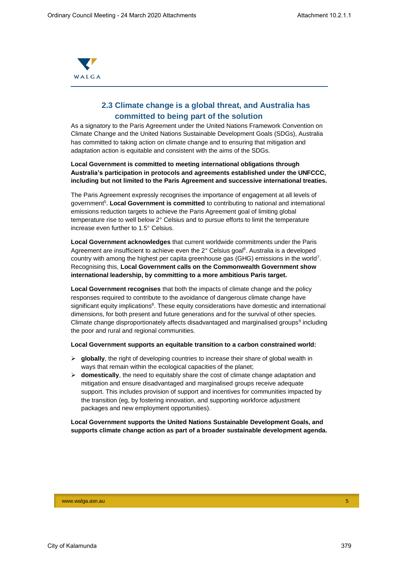

## **2.3 Climate change is a global threat, and Australia has committed to being part of the solution**

As a signatory to the Paris Agreement under the United Nations Framework Convention on Climate Change and the United Nations Sustainable Development Goals (SDGs), Australia has committed to taking action on climate change and to ensuring that mitigation and adaptation action is equitable and consistent with the aims of the SDGs.

**Local Government is committed to meeting international obligations through Australia's participation in protocols and agreements established under the UNFCCC, including but not limited to the Paris Agreement and successive international treaties.**

The Paris Agreement expressly recognises the importance of engagement at all levels of government<sup>5</sup>. Local Government is committed to contributing to national and international emissions reduction targets to achieve the Paris Agreement goal of limiting global temperature rise to well below 2° Celsius and to pursue efforts to limit the temperature increase even further to 1.5° Celsius.

**Local Government acknowledges** that current worldwide commitments under the Paris Agreement are insufficient to achieve even the 2° Celsius goal<sup>6</sup>. Australia is a developed country with among the highest per capita greenhouse gas (GHG) emissions in the world<sup>7</sup>. Recognising this, **Local Government calls on the Commonwealth Government show international leadership, by committing to a more ambitious Paris target.**

**Local Government recognises** that both the impacts of climate change and the policy responses required to contribute to the avoidance of dangerous climate change have significant equity implications<sup>8</sup>. These equity considerations have domestic and international dimensions, for both present and future generations and for the survival of other species. Climate change disproportionately affects disadvantaged and marginalised groups<sup>9</sup> including the poor and rural and regional communities.

#### **Local Government supports an equitable transition to a carbon constrained world:**

- **globally**, the right of developing countries to increase their share of global wealth in ways that remain within the ecological capacities of the planet;
- $\triangleright$  **domestically**, the need to equitably share the cost of climate change adaptation and mitigation and ensure disadvantaged and marginalised groups receive adequate support. This includes provision of support and incentives for communities impacted by the transition (eg, by fostering innovation, and supporting workforce adjustment packages and new employment opportunities).

### **Local Government supports the United Nations Sustainable Development Goals, and supports climate change action as part of a broader sustainable development agenda.**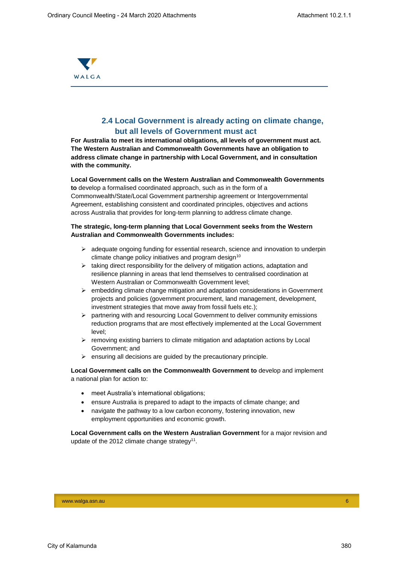

## **2.4 Local Government is already acting on climate change, but all levels of Government must act**

**For Australia to meet its international obligations, all levels of government must act. The Western Australian and Commonwealth Governments have an obligation to address climate change in partnership with Local Government, and in consultation with the community.**

**Local Government calls on the Western Australian and Commonwealth Governments to** develop a formalised coordinated approach, such as in the form of a Commonwealth/State/Local Government partnership agreement or Intergovernmental Agreement, establishing consistent and coordinated principles, objectives and actions across Australia that provides for long-term planning to address climate change.

#### **The strategic, long-term planning that Local Government seeks from the Western Australian and Commonwealth Governments includes:**

- $\triangleright$  adequate ongoing funding for essential research, science and innovation to underpin climate change policy initiatives and program design $10$
- $\triangleright$  taking direct responsibility for the delivery of mitigation actions, adaptation and resilience planning in areas that lend themselves to centralised coordination at Western Australian or Commonwealth Government level;
- $\triangleright$  embedding climate change mitigation and adaptation considerations in Government projects and policies (government procurement, land management, development, investment strategies that move away from fossil fuels etc.);
- $\triangleright$  partnering with and resourcing Local Government to deliver community emissions reduction programs that are most effectively implemented at the Local Government level;
- $\triangleright$  removing existing barriers to climate mitigation and adaptation actions by Local Government; and
- $\triangleright$  ensuring all decisions are guided by the precautionary principle.

**Local Government calls on the Commonwealth Government to** develop and implement a national plan for action to:

- meet Australia's international obligations;
- ensure Australia is prepared to adapt to the impacts of climate change; and
- navigate the pathway to a low carbon economy, fostering innovation, new employment opportunities and economic growth.

**Local Government calls on the Western Australian Government** for a major revision and update of the 2012 climate change strategy<sup>11</sup>.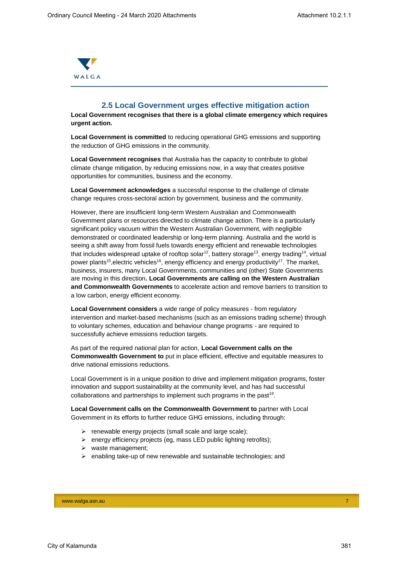

### **2.5 Local Government urges effective mitigation action**

**Local Government recognises that there is a global climate emergency which requires urgent action.** 

**Local Government is committed** to reducing operational GHG emissions and supporting the reduction of GHG emissions in the community.

**Local Government recognises** that Australia has the capacity to contribute to global climate change mitigation, by reducing emissions now, in a way that creates positive opportunities for communities, business and the economy.

**Local Government acknowledges** a successful response to the challenge of climate change requires cross-sectoral action by government, business and the community.

However, there are insufficient long-term Western Australian and Commonwealth Government plans or resources directed to climate change action. There is a particularly significant policy vacuum within the Western Australian Government, with negligible demonstrated or coordinated leadership or long-term planning. Australia and the world is seeing a shift away from fossil fuels towards energy efficient and renewable technologies that includes widespread uptake of rooftop solar<sup>12</sup>, battery storage<sup>13</sup>, energy trading<sup>14</sup>, virtual power plants<sup>15</sup>, electric vehicles<sup>16</sup>, energy efficiency and energy productivity<sup>17</sup>. The market, business, insurers, many Local Governments, communities and (other) State Governments are moving in this direction**. Local Governments are calling on the Western Australian and Commonwealth Governments** to accelerate action and remove barriers to transition to a low carbon, energy efficient economy.

**Local Government considers** a wide range of policy measures - from regulatory intervention and market-based mechanisms (such as an emissions trading scheme) through to voluntary schemes, education and behaviour change programs - are required to successfully achieve emissions reduction targets.

As part of the required national plan for action, **Local Government calls on the Commonwealth Government to** put in place efficient, effective and equitable measures to drive national emissions reductions.

Local Government is in a unique position to drive and implement mitigation programs, foster innovation and support sustainability at the community level, and has had successful collaborations and partnerships to implement such programs in the past<sup>18</sup>.

**Local Government calls on the Commonwealth Government to** partner with Local Government in its efforts to further reduce GHG emissions, including through:

- $\triangleright$  renewable energy projects (small scale and large scale);
- $\triangleright$  energy efficiency projects (eg, mass LED public lighting retrofits);
- $\triangleright$  waste management;
- $\triangleright$  enabling take-up of new renewable and sustainable technologies; and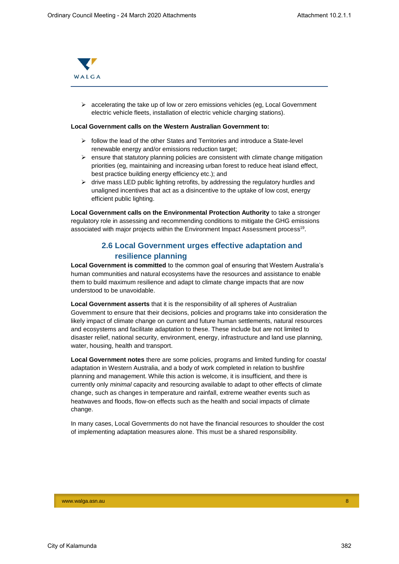

 $\triangleright$  accelerating the take up of low or zero emissions vehicles (eg, Local Government electric vehicle fleets, installation of electric vehicle charging stations).

#### **Local Government calls on the Western Australian Government to:**

- $\triangleright$  follow the lead of the other States and Territories and introduce a State-level renewable energy and/or emissions reduction target;
- $\triangleright$  ensure that statutory planning policies are consistent with climate change mitigation priorities (eg, maintaining and increasing urban forest to reduce heat island effect, best practice building energy efficiency etc.); and
- $\triangleright$  drive mass LED public lighting retrofits, by addressing the regulatory hurdles and unaligned incentives that act as a disincentive to the uptake of low cost, energy efficient public lighting.

**Local Government calls on the Environmental Protection Authority** to take a stronger regulatory role in assessing and recommending conditions to mitigate the GHG emissions associated with major projects within the Environment Impact Assessment process<sup>19</sup>.

## **2.6 Local Government urges effective adaptation and resilience planning**

**Local Government is committed** to the common goal of ensuring that Western Australia's human communities and natural ecosystems have the resources and assistance to enable them to build maximum resilience and adapt to climate change impacts that are now understood to be unavoidable.

**Local Government asserts** that it is the responsibility of all spheres of Australian Government to ensure that their decisions, policies and programs take into consideration the likely impact of climate change on current and future human settlements, natural resources and ecosystems and facilitate adaptation to these. These include but are not limited to disaster relief, national security, environment, energy, infrastructure and land use planning, water, housing, health and transport.

**Local Government notes** there are some policies, programs and limited funding for *coastal* adaptation in Western Australia, and a body of work completed in relation to bushfire planning and management. While this action is welcome, it is insufficient, and there is currently only *minimal* capacity and resourcing available to adapt to other effects of climate change, such as changes in temperature and rainfall, extreme weather events such as heatwaves and floods, flow-on effects such as the health and social impacts of climate change.

In many cases, Local Governments do not have the financial resources to shoulder the cost of implementing adaptation measures alone. This must be a shared responsibility.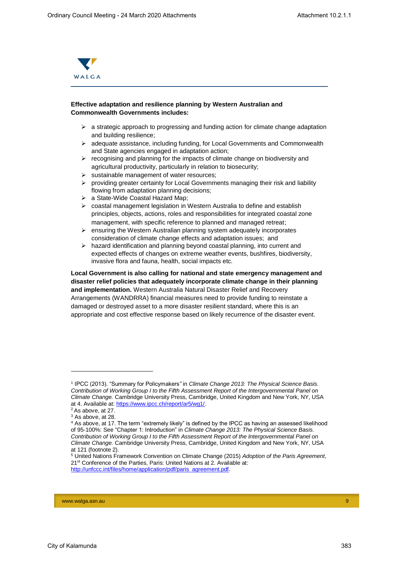

### **Effective adaptation and resilience planning by Western Australian and Commonwealth Governments includes:**

- $\triangleright$  a strategic approach to progressing and funding action for climate change adaptation and building resilience;
- $\triangleright$  adequate assistance, including funding, for Local Governments and Commonwealth and State agencies engaged in adaptation action;
- $\triangleright$  recognising and planning for the impacts of climate change on biodiversity and agricultural productivity, particularly in relation to biosecurity;
- $\triangleright$  sustainable management of water resources:
- $\triangleright$  providing greater certainty for Local Governments managing their risk and liability flowing from adaptation planning decisions;
- a State-Wide Coastal Hazard Map;
- coastal management legislation in Western Australia to define and establish principles, objects, actions, roles and responsibilities for integrated coastal zone management, with specific reference to planned and managed retreat;
- $\triangleright$  ensuring the Western Australian planning system adequately incorporates consideration of climate change effects and adaptation issues; and
- $\triangleright$  hazard identification and planning beyond coastal planning, into current and expected effects of changes on extreme weather events, bushfires, biodiversity, invasive flora and fauna, health, social impacts etc.

**Local Government is also calling for national and state emergency management and disaster relief policies that adequately incorporate climate change in their planning and implementation.** Western Australia Natural Disaster Relief and Recovery Arrangements (WANDRRA) financial measures need to provide funding to reinstate a damaged or destroyed asset to a more disaster resilient standard, where this is an appropriate and cost effective response based on likely recurrence of the disaster event.

l

www.walga.asn.au 9 | 2002 | 2003 | 2004 | 2005 | 2006 | 2007 | 2008 | 2009 | 2009 | 2009 | 2009 | 2009 | 2009 |

<sup>1</sup> IPCC (2013). "Summary for Policymakers*"* in *Climate Change 2013: The Physical Science Basis. Contribution of Working Group I to the Fifth Assessment Report of the Intergovernmental Panel on Climate Change.* Cambridge University Press, Cambridge, United Kingdom and New York, NY, USA at 4. Available at: [https://www.ipcc.ch/report/ar5/wg1/.](https://www.ipcc.ch/report/ar5/wg1/)

<sup>2</sup> As above, at 27. <sup>3</sup> As above, at 28.

<sup>4</sup> As above, at 17. The term "extremely likely" is defined by the IPCC as having an assessed likelihood of 95-100%: See "Chapter 1: Introduction" in *Climate Change 2013: The Physical Science Basis. Contribution of Working Group I to the Fifth Assessment Report of the Intergovernmental Panel on Climate Change.* Cambridge University Press, Cambridge, United Kingdom and New York, NY, USA at 121 (footnote 2).

<sup>5</sup> United Nations Framework Convention on Climate Change (2015) *Adoption of the Paris Agreement*, 21<sup>st</sup> Conference of the Parties, Paris: United Nations at 2. Available at: [http://unfccc.int/files/home/application/pdf/paris\\_agreement.pdf.](http://unfccc.int/files/home/application/pdf/paris_agreement.pdf)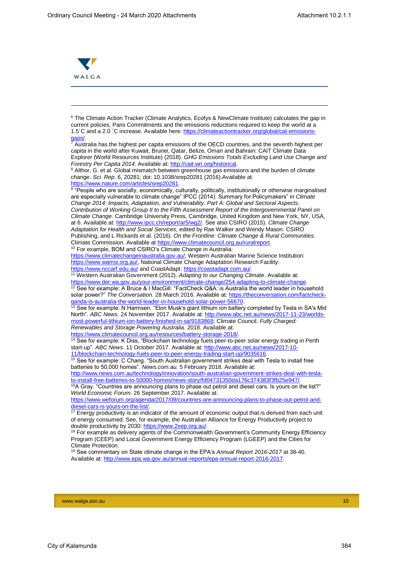

-

<sup>6</sup> The Climate Action Tracker (Climate Analytics, Ecofys & NewClimate Institute) calculates the gap in current policies, Paris Commitments and the emissions reductions required to keep the world at a 1.5˚C and a 2.0 ˚C increase. Available here: [https://climateactiontracker.org/global/cat-emissions](https://climateactiontracker.org/global/cat-emissions-gaps/)[gaps/.](https://climateactiontracker.org/global/cat-emissions-gaps/)

 $7$  Australia has the highest per capita emissions of the OECD countries, and the seventh highest per capita in the world after Kuwait, Brunei, Qatar, Belize, Oman and Bahrain: CAIT Climate Data Explorer (World Resources Institute) (2018). *GHG Emissions Totals Excluding Land Use Change and Forestry Per Capita 2014*. Available at[: http://cait.wri.org/historical.](http://cait.wri.org/historical)

<sup>8</sup> Althor, G. et al. Global mismatch between greenhouse gas emissions and the burden of climate change. *Sci. Rep*. 6, 20281; doi: 10.1038/srep20281 (2016).Available at: [https://www.nature.com/articles/srep20281.](https://www.nature.com/articles/srep20281)

<sup>9</sup> "People who are socially, economically, culturally, politically, institutionally or otherwise marginalised are especially vulnerable to climate change" IPCC (2014). Summary for Policymakers" in *Climate Change 2014: Impacts, Adaptation, and Vulnerability. Part A: Global and Sectoral Aspects. Contribution of Working Group II to the Fifth Assessment Report of the Intergovernmental Panel on Climate Change*. Cambridge University Press, Cambridge, United Kingdom and New York, NY, USA, at 6. Available at[: http://www.ipcc.ch/report/ar5/wg2/.](http://www.ipcc.ch/report/ar5/wg2/) See also CSIRO (2015). *Climate Change Adaptation for Health and Social Services*, edited by Rae Walker and Wendy Mason. CSIRO Publishing, and L Rickards et al. (2016). *On the Frontline: Climate Change & Rural Communities.*  Climate Commission. Available at [https://www.climatecouncil.org.au/ruralreport.](https://www.climatecouncil.org.au/ruralreport)

<sup>10</sup> For example, BOM and CSIRO's Climate Change in Australia:

[https://www.climatechangeinaustralia.gov.au/,](https://www.climatechangeinaustralia.gov.au/) Western Australian Marine Science Institution: [https://www.wamsi.org.au/,](https://www.wamsi.org.au/) National Climate Change Adaptation Research Facility: <https://www.nccarf.edu.au/> and CoastAdapt: https://coastadapt.com.au/

<sup>11</sup> Western Australian Government (2012). *Adapting to our Changing Climate*. Available at: [https://www.der.wa.gov.au/your-environment/climate-change/254-adapting-to-climate-change.](https://www.der.wa.gov.au/your-environment/climate-change/254-adapting-to-climate-change)

<sup>12</sup> See for example: A Bruce & I MacGill. "FactCheck Q&A: is Australia the world leader in household solar power?" The Conversation. 28 March 2016. Available at: [https://theconversation.com/factcheck](https://theconversation.com/factcheck-qanda-is-australia-the-world-leader-in-household-solar-power-56670)[qanda-is-australia-the-world-leader-in-household-solar-power-56670.](https://theconversation.com/factcheck-qanda-is-australia-the-world-leader-in-household-solar-power-56670)

<sup>13</sup> See for example: N Harmsen. "Elon Musk's giant lithium ion battery completed by Tesla in SA's Mid North". *ABC News.* 24 November 2017. Available at: [http://www.abc.net.au/news/2017-11-23/worlds](http://www.abc.net.au/news/2017-11-23/worlds-most-powerful-lithium-ion-battery-finished-in-sa/9183868)[most-powerful-lithium-ion-battery-finished-in-sa/9183868;](http://www.abc.net.au/news/2017-11-23/worlds-most-powerful-lithium-ion-battery-finished-in-sa/9183868) Climate Council. *Fully Charged: Renewables and Storage Powering Australia.* 2018. Available at:

[https://www.climatecouncil.org.au/resources/battery-storage-2018/.](https://www.climatecouncil.org.au/resources/battery-storage-2018/)

<sup>14</sup> See for example: K Diss, "Blockchain technology fuels peer-to-peer solar energy trading in Perth start-up". *ABC News*. 11 October 2017. Available at: [http://www.abc.net.au/news/2017-10-](http://www.abc.net.au/news/2017-10-11/blockchain-technology-fuels-peer-to-peer-energy-trading-start-up/9035616)

[11/blockchain-technology-fuels-peer-to-peer-energy-trading-start-up/9035616.](http://www.abc.net.au/news/2017-10-11/blockchain-technology-fuels-peer-to-peer-energy-trading-start-up/9035616) <sup>15</sup> See for example: C Chang. "South Australian government strikes deal with Tesla to install free

batteries to 50,000 homes". *News.com.au.* 5 February 2018. Available at:

[http://www.news.com.au/technology/innovation/south-australian-government-strikes-deal-with-tesla](http://www.news.com.au/technology/innovation/south-australian-government-strikes-deal-with-tesla-to-install-free-batteries-to-50000-homes/news-story/fd04731350da176c374383f3fb25e947/)[to-install-free-batteries-to-50000-homes/news-story/fd04731350da176c374383f3fb25e947/.](http://www.news.com.au/technology/innovation/south-australian-government-strikes-deal-with-tesla-to-install-free-batteries-to-50000-homes/news-story/fd04731350da176c374383f3fb25e947/)

<sup>16</sup>A Gray. "Countries are announcing plans to phase out petrol and diesel cars. Is yours on the list?" *World Economic Forum*. 26 September 2017. Available at:

[https://www.weforum.org/agenda/2017/09/countries-are-announcing-plans-to-phase-out-petrol-and](https://www.weforum.org/agenda/2017/09/countries-are-announcing-plans-to-phase-out-petrol-and-diesel-cars-is-yours-on-the-list/)[diesel-cars-is-yours-on-the-list/.](https://www.weforum.org/agenda/2017/09/countries-are-announcing-plans-to-phase-out-petrol-and-diesel-cars-is-yours-on-the-list/)

 $17$  Energy productivity is an indicator of the amount of economic output that is derived from each unit of energy consumed. See, for example, the Australian Alliance for Energy Productivity project to double productivity by 2030: [https://www.2xep.org.au/.](https://www.2xep.org.au/)

 $18$  For example as delivery agents of the Commonwealth Government's Community Energy Efficiency Program (CEEP) and Local Government Energy Efficiency Program (LGEEP) and the Cities for Climate Protection.

<sup>19</sup> See commentary on State climate change in the EPA's *Annual Report 2016-2017* at 38-40. Available at: [http://www.epa.wa.gov.au/annual-reports/epa-annual-report-2016-2017.](http://www.epa.wa.gov.au/annual-reports/epa-annual-report-2016-2017)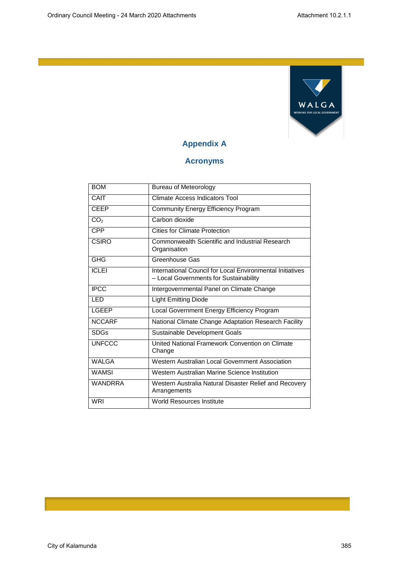

## **Appendix A**

## **Acronyms**

| <b>BOM</b>      | Bureau of Meteorology                                                                               |  |
|-----------------|-----------------------------------------------------------------------------------------------------|--|
| CAIT            | Climate Access Indicators Tool                                                                      |  |
| <b>CEEP</b>     | <b>Community Energy Efficiency Program</b>                                                          |  |
| CO <sub>2</sub> | Carbon dioxide                                                                                      |  |
| <b>CPP</b>      | Cities for Climate Protection                                                                       |  |
| <b>CSIRO</b>    | Commonwealth Scientific and Industrial Research<br>Organisation                                     |  |
| <b>GHG</b>      | Greenhouse Gas                                                                                      |  |
| <b>ICLEI</b>    | International Council for Local Environmental Initiatives<br>- Local Governments for Sustainability |  |
| <b>IPCC</b>     | Intergovernmental Panel on Climate Change                                                           |  |
| <b>LED</b>      | <b>Light Emitting Diode</b>                                                                         |  |
| <b>LGEEP</b>    | Local Government Energy Efficiency Program                                                          |  |
| <b>NCCARF</b>   | National Climate Change Adaptation Research Facility                                                |  |
| <b>SDGs</b>     | Sustainable Development Goals                                                                       |  |
| <b>UNFCCC</b>   | United National Framework Convention on Climate<br>Change                                           |  |
| <b>WALGA</b>    | Western Australian Local Government Association                                                     |  |
| <b>WAMSI</b>    | Western Australian Marine Science Institution                                                       |  |
| <b>WANDRRA</b>  | Western Australia Natural Disaster Relief and Recovery<br>Arrangements                              |  |
| <b>WRI</b>      | <b>World Resources Institute</b>                                                                    |  |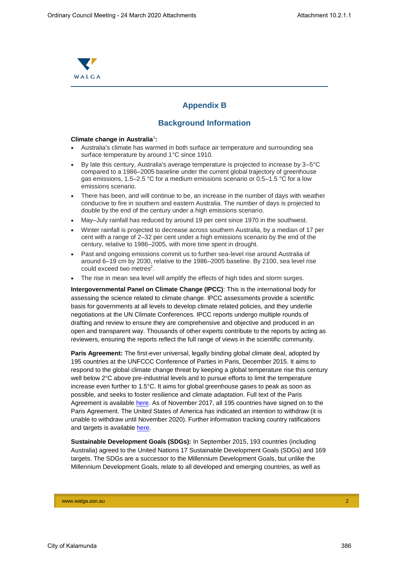

## **Appendix B**

## **Background Information**

#### **Climate change in Australia**<sup>1</sup> **:**

- Australia's climate has warmed in both surface air temperature and surrounding sea surface temperature by around 1°C since 1910.
- By late this century, Australia's average temperature is projected to increase by 3–5°C compared to a 1986–2005 baseline under the current global trajectory of greenhouse gas emissions, 1.5–2.5 °C for a medium emissions scenario or 0.5–1.5 °C for a low emissions scenario.
- There has been, and will continue to be, an increase in the number of days with weather conducive to fire in southern and eastern Australia. The number of days is projected to double by the end of the century under a high emissions scenario.
- May–July rainfall has reduced by around 19 per cent since 1970 in the southwest.
- Winter rainfall is projected to decrease across southern Australia, by a median of 17 per cent with a range of 2–32 per cent under a high emissions scenario by the end of the century, relative to 1986–2005, with more time spent in drought.
- Past and ongoing emissions commit us to further sea-level rise around Australia of around 6–19 cm by 2030, relative to the 1986–2005 baseline. By 2100, sea level rise could exceed two metres<sup>2</sup>.
- The rise in mean sea level will amplify the effects of high tides and storm surges.

**Intergovernmental Panel on Climate Change (IPCC)**: This is the international body for assessing the science related to climate change. IPCC assessments provide a scientific basis for governments at all levels to develop climate related policies, and they underlie negotiations at the UN Climate Conferences. IPCC reports undergo multiple rounds of drafting and review to ensure they are comprehensive and objective and produced in an open and transparent way. Thousands of other experts contribute to the reports by acting as reviewers, ensuring the reports reflect the full range of views in the scientific community.

**Paris Agreement:** The first-ever universal, legally binding global climate deal, adopted by 195 countries at the UNFCCC Conference of Parties in Paris, December 2015. It aims to respond to the global climate change threat by keeping a global temperature rise this century well below 2°C above pre-industrial levels and to pursue efforts to limit the temperature increase even further to 1.5°C. It aims for global greenhouse gases to peak as soon as possible, and seeks to foster resilience and climate adaptation. Full text of the Paris Agreement is available [here.](http://unfccc.int/files/home/application/pdf/paris_agreement.pdf) As of November 2017, all 195 countries have signed on to the Paris Agreement. The United States of America has indicated an intention to withdraw (it is unable to withdraw until November 2020). Further information tracking country ratifications and targets is available [here.](http://cait.wri.org/indc/)

**Sustainable Development Goals (SDGs):** In September 2015, 193 countries (including Australia) agreed to the United Nations 17 Sustainable Development Goals (SDGs) and 169 targets. The SDGs are a successor to the Millennium Development Goals, but unlike the Millennium Development Goals, relate to all developed and emerging countries, as well as

www.walga.asn.au 2007 - 2008 - 2008 - 2008 - 2008 - 2008 - 2008 - 2008 - 2008 - 2008 - 2008 - 2008 - 2008 - 20<br>2008 - 2008 - 2008 - 2008 - 2008 - 2008 - 2008 - 2008 - 2008 - 2008 - 2008 - 2008 - 2008 - 2008 - 2008 - 2008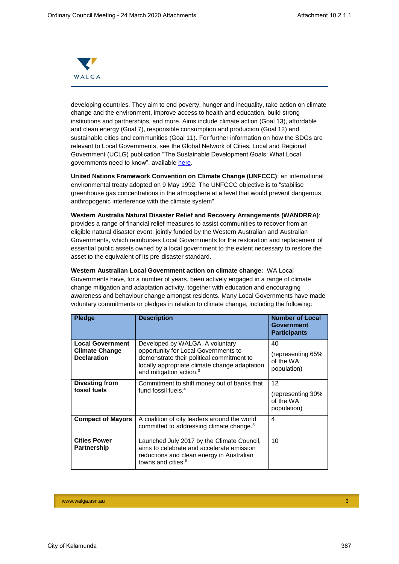

developing countries. They aim to end poverty, hunger and inequality, take action on climate change and the environment, improve access to health and education, build strong institutions and partnerships, and more. Aims include climate action (Goal 13), affordable and clean energy (Goal 7), responsible consumption and production (Goal 12) and sustainable cities and communities (Goal 11). For further information on how the SDGs are relevant to Local Governments, see the Global Network of Cities, Local and Regional Government (UCLG) publication "The Sustainable Development Goals: What Local governments need to know", available [here.](https://www.uclg.org/en/media/news/sustainable-development-goals-what-local-governments-need-know)

**United Nations Framework Convention on Climate Change (UNFCCC)**: an international environmental treaty adopted on 9 May 1992. The UNFCCC objective is to "stabilise greenhouse gas concentrations in the atmosphere at a level that would prevent dangerous anthropogenic interference with the climate system".

**Western Australia Natural Disaster Relief and Recovery Arrangements (WANDRRA)**: provides a range of financial relief measures to assist communities to recover from an eligible natural disaster event, jointly funded by the Western Australian and Australian Governments, which reimburses Local Governments for the restoration and replacement of essential public assets owned by a local government to the extent necessary to restore the asset to the equivalent of its pre-disaster standard.

**Western Australian Local Government action on climate change:** WA Local Governments have, for a number of years, been actively engaged in a range of climate change mitigation and adaptation activity, together with education and encouraging awareness and behaviour change amongst residents. Many Local Governments have made voluntary commitments or pledges in relation to climate change, including the following:

| <b>Pledge</b>                                                          | <b>Description</b>                                                                                                                                                                                           | <b>Number of Local</b><br><b>Government</b><br><b>Participants</b> |
|------------------------------------------------------------------------|--------------------------------------------------------------------------------------------------------------------------------------------------------------------------------------------------------------|--------------------------------------------------------------------|
| <b>Local Government</b><br><b>Climate Change</b><br><b>Declaration</b> | Developed by WALGA. A voluntary<br>opportunity for Local Governments to<br>demonstrate their political commitment to<br>locally appropriate climate change adaptation<br>and mitigation action. <sup>3</sup> | 40<br>(representing 65%)<br>of the WA<br>population)               |
| <b>Divesting from</b><br>fossil fuels                                  | Commitment to shift money out of banks that<br>fund fossil fuels. <sup>4</sup>                                                                                                                               | 12<br>(representing 30%<br>of the WA<br>population)                |
| <b>Compact of Mayors</b>                                               | A coalition of city leaders around the world<br>committed to addressing climate change. <sup>5</sup>                                                                                                         | 4                                                                  |
| <b>Cities Power</b><br><b>Partnership</b>                              | Launched July 2017 by the Climate Council,<br>aims to celebrate and accelerate emission<br>reductions and clean energy in Australian<br>towns and cities. <sup>6</sup>                                       | 10                                                                 |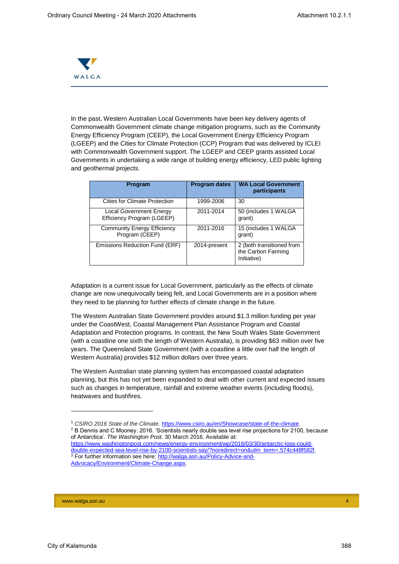

In the past, Western Australian Local Governments have been key delivery agents of Commonwealth Government climate change mitigation programs, such as the Community Energy Efficiency Program (CEEP), the Local Government Energy Efficiency Program (LGEEP) and the Cities for Climate Protection (CCP) Program that was delivered by ICLEI with Commonwealth Government support. The LGEEP and CEEP grants assisted Local Governments in undertaking a wide range of building energy efficiency, LED public lighting and geothermal projects.

| <b>Program</b>                                               | <b>Program dates</b> | <b>WA Local Government</b><br>participants                     |
|--------------------------------------------------------------|----------------------|----------------------------------------------------------------|
| <b>Cities for Climate Protection</b>                         | 1999-2006            | 30                                                             |
| <b>Local Government Energy</b><br>Efficiency Program (LGEEP) | 2011-2014            | 50 (includes 1 WALGA<br>grant)                                 |
| <b>Community Energy Efficiency</b><br>Program (CEEP)         | 2011-2016            | 15 (includes 1 WALGA<br>grant)                                 |
| Emissions Reduction Fund (ERF)                               | 2014-present         | 2 (both transitioned from<br>the Carbon Farming<br>Initiative) |

Adaptation is a current issue for Local Government, particularly as the effects of climate change are now unequivocally being felt, and Local Governments are in a position where they need to be planning for further effects of climate change in the future.

The Western Australian State Government provides around \$1.3 million funding per year under the CoastWest, Coastal Management Plan Assistance Program and Coastal Adaptation and Protection programs. In contrast, the New South Wales State Government (with a coastline one sixth the length of Western Australia), is providing \$63 million over five years. The Queensland State Government (with a coastline a little over half the length of Western Australia) provides \$12 million dollars over three years.

The Western Australian state planning system has encompassed coastal adaptation planning, but this has not yet been expanded to deal with other current and expected issues such as changes in temperature, rainfall and extreme weather events (including floods), heatwaves and bushfires.

www.walga.asn.au 44 Australia and authority and authority and authority and authority and authority and authority and

l

<sup>&</sup>lt;sup>1</sup> CSIRO 2016 State of the Climate. https://www.csiro.au/en/Showcase/state-of-the-climate <sup>2</sup> B Dennis and C Mooney. 2016. 'Scientists nearly double sea level rise projections for 2100, because of Antarctica'. *The Washington Post*. 30 March 2016. Available at: [https://www.washingtonpost.com/news/energy-environment/wp/2016/03/30/antarctic-loss-could](https://www.washingtonpost.com/news/energy-environment/wp/2016/03/30/antarctic-loss-could-double-expected-sea-level-rise-by-2100-scientists-say/?noredirect=on&utm_term=.574c448f582f)double-expected-sea-level-rise-by-2100-scientists-say/?noredirect=on&utm\_term=.574c448f582f

<sup>&</sup>lt;sup>3</sup> For further information see here: [http://walga.asn.au/Policy-Advice-and-](http://walga.asn.au/Policy-Advice-and-Advocacy/Environment/Climate-Change.aspx)[Advocacy/Environment/Climate-Change.aspx.](http://walga.asn.au/Policy-Advice-and-Advocacy/Environment/Climate-Change.aspx)